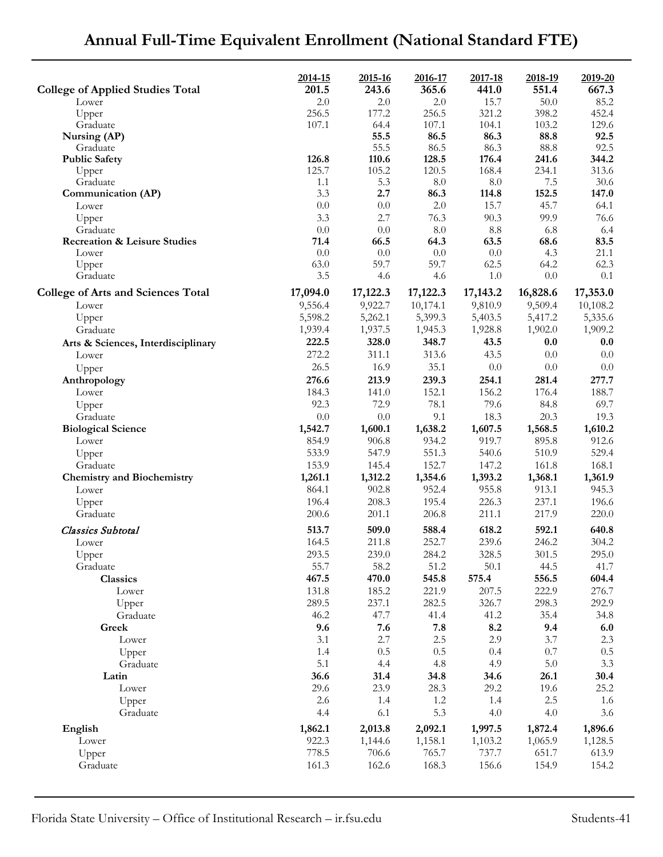| <b>College of Applied Studies Total</b>   | 2014-15<br>201.5 | 2015-16<br>243.6 | 2016-17<br>365.6 | 2017-18<br>441.0 | 2018-19<br>551.4 | 2019-20<br>667.3 |
|-------------------------------------------|------------------|------------------|------------------|------------------|------------------|------------------|
| Lower                                     | 2.0              | 2.0              | 2.0              | 15.7             | 50.0             | 85.2             |
| Upper                                     | 256.5            | 177.2            | 256.5            | 321.2            | 398.2            | 452.4            |
| Graduate                                  | 107.1            | 64.4             | 107.1            | 104.1            | 103.2            | 129.6            |
| Nursing (AP)                              |                  | 55.5             | 86.5             | 86.3             | 88.8             | 92.5             |
| Graduate                                  |                  | 55.5             | 86.5             | 86.3             | 88.8             | 92.5             |
| <b>Public Safety</b>                      | 126.8            | 110.6            | 128.5            | 176.4            | 241.6            | 344.2            |
| Upper<br>Graduate                         | 125.7<br>1.1     | 105.2<br>5.3     | 120.5<br>$8.0\,$ | 168.4<br>$8.0\,$ | 234.1<br>7.5     | 313.6<br>30.6    |
| Communication (AP)                        | 3.3              | 2.7              | 86.3             | 114.8            | 152.5            | 147.0            |
| Lower                                     | 0.0              | 0.0              | 2.0              | 15.7             | 45.7             | 64.1             |
| Upper                                     | 3.3              | 2.7              | 76.3             | 90.3             | 99.9             | 76.6             |
| Graduate                                  | $0.0\,$          | 0.0              | 8.0              | 8.8              | 6.8              | 6.4              |
| <b>Recreation &amp; Leisure Studies</b>   | 71.4             | 66.5             | 64.3             | 63.5             | 68.6             | 83.5             |
| Lower                                     | 0.0              | 0.0              | 0.0              | 0.0              | 4.3              | 21.1             |
| Upper                                     | 63.0             | 59.7             | 59.7             | 62.5             | 64.2             | 62.3             |
| Graduate                                  | 3.5              | 4.6              | 4.6              | 1.0              | 0.0              | 0.1              |
| <b>College of Arts and Sciences Total</b> | 17,094.0         | 17,122.3         | 17,122.3         | 17,143.2         | 16,828.6         | 17,353.0         |
| Lower                                     | 9,556.4          | 9,922.7          | 10,174.1         | 9,810.9          | 9,509.4          | 10,108.2         |
| Upper                                     | 5,598.2          | 5,262.1          | 5,399.3          | 5,403.5          | 5,417.2          | 5,335.6          |
| Graduate                                  | 1,939.4          | 1,937.5          | 1,945.3          | 1,928.8          | 1,902.0          | 1,909.2          |
| Arts & Sciences, Interdisciplinary        | 222.5            | 328.0            | 348.7            | 43.5             | 0.0              | 0.0              |
| Lower                                     | 272.2            | 311.1            | 313.6            | 43.5             | 0.0              | 0.0              |
| Upper                                     | 26.5             | 16.9             | 35.1             | $0.0\,$          | 0.0              | 0.0              |
| Anthropology                              | 276.6            | 213.9            | 239.3            | 254.1            | 281.4            | 277.7            |
| Lower                                     | 184.3            | 141.0            | 152.1            | 156.2            | 176.4            | 188.7            |
| Upper                                     | 92.3             | 72.9             | 78.1             | 79.6             | 84.8             | 69.7             |
| Graduate                                  | 0.0              | 0.0              | 9.1              | 18.3             | 20.3             | 19.3             |
| <b>Biological Science</b>                 | 1,542.7          | 1,600.1          | 1,638.2          | 1,607.5          | 1,568.5          | 1,610.2          |
| Lower                                     | 854.9            | 906.8            | 934.2            | 919.7            | 895.8            | 912.6            |
| Upper                                     | 533.9            | 547.9            | 551.3            | 540.6            | 510.9            | 529.4            |
| Graduate                                  | 153.9            | 145.4            | 152.7            | 147.2            | 161.8            | 168.1            |
| <b>Chemistry and Biochemistry</b>         | 1,261.1          | 1,312.2          | 1,354.6          | 1,393.2          | 1,368.1          | 1,361.9          |
| Lower                                     | 864.1            | 902.8            | 952.4            | 955.8            | 913.1            | 945.3            |
| Upper                                     | 196.4            | 208.3            | 195.4            | 226.3            | 237.1            | 196.6            |
| Graduate<br>Classics Subtotal             | 200.6<br>513.7   | 201.1<br>509.0   | 206.8<br>588.4   | 211.1<br>618.2   | 217.9<br>592.1   | 220.0<br>640.8   |
| Lower                                     | 164.5            | 211.8            | 252.7            | 239.6            | 246.2            | 304.2            |
|                                           | 293.5            | 239.0            | 284.2            | 328.5            | 301.5            | 295.0            |
| Upper<br>Graduate                         | 55.7             | 58.2             | 51.2             | $50.1$           | 44.5             | 41.7             |
| Classics                                  | 467.5            | 470.0            | 545.8            | 575.4            | 556.5            | 604.4            |
| Lower                                     | 131.8            | 185.2            | 221.9            | 207.5            | 222.9            | 276.7            |
| Upper                                     | 289.5            | 237.1            | 282.5            | 326.7            | 298.3            | 292.9            |
| Graduate                                  | 46.2             | 47.7             | 41.4             | 41.2             | 35.4             | 34.8             |
| Greek                                     | 9.6              | 7.6              | 7.8              | 8.2              | 9.4              | 6.0              |
| Lower                                     | 3.1              | 2.7              | $2.5\,$          | 2.9              | 3.7              | 2.3              |
| Upper                                     | 1.4              | 0.5              | 0.5              | 0.4              | $0.7\,$          | 0.5              |
| Graduate                                  | 5.1              | 4.4              | 4.8              | 4.9              | 5.0              | 3.3              |
| Latin                                     | 36.6             | 31.4             | 34.8             | 34.6             | 26.1             | 30.4             |
| Lower                                     | 29.6             | 23.9             | 28.3             | 29.2             | 19.6             | 25.2             |
| Upper                                     | 2.6              | 1.4              | $1.2\,$          | 1.4              | 2.5              | 1.6              |
| Graduate                                  | 4.4              | 6.1              | 5.3              | 4.0              | 4.0              | 3.6              |
| English                                   | 1,862.1          | 2,013.8          | 2,092.1          | 1,997.5          | 1,872.4          | 1,896.6          |
| Lower                                     | 922.3            | 1,144.6          | 1,158.1          | 1,103.2          | 1,065.9          | 1,128.5          |
| Upper                                     | 778.5            | 706.6            | 765.7            | 737.7            | 651.7            | 613.9            |
| Graduate                                  | 161.3            | 162.6            | 168.3            | 156.6            | 154.9            | 154.2            |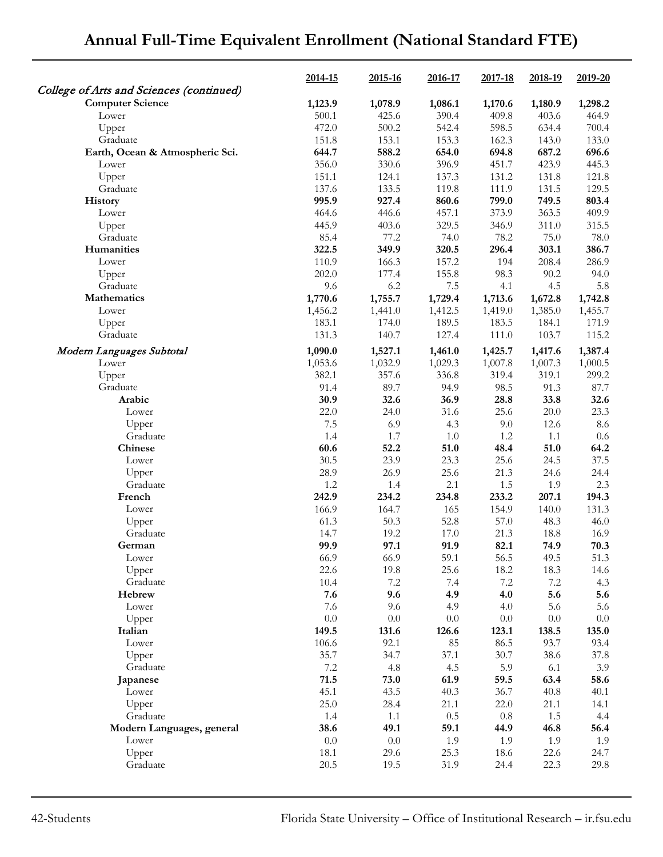|                                          | 2014-15 | 2015-16 | 2016-17 | 2017-18 | 2018-19 | 2019-20 |
|------------------------------------------|---------|---------|---------|---------|---------|---------|
| College of Arts and Sciences (continued) |         |         |         |         |         |         |
| <b>Computer Science</b>                  | 1,123.9 | 1,078.9 | 1,086.1 | 1,170.6 | 1,180.9 | 1,298.2 |
| Lower                                    | 500.1   | 425.6   | 390.4   | 409.8   | 403.6   | 464.9   |
| Upper                                    | 472.0   | 500.2   | 542.4   | 598.5   | 634.4   | 700.4   |
| Graduate                                 | 151.8   | 153.1   | 153.3   | 162.3   | 143.0   | 133.0   |
| Earth, Ocean & Atmospheric Sci.          | 644.7   | 588.2   | 654.0   | 694.8   | 687.2   | 696.6   |
| Lower                                    | 356.0   | 330.6   | 396.9   | 451.7   | 423.9   | 445.3   |
| Upper                                    | 151.1   | 124.1   | 137.3   | 131.2   | 131.8   | 121.8   |
| Graduate                                 | 137.6   | 133.5   | 119.8   | 111.9   | 131.5   | 129.5   |
| History                                  | 995.9   | 927.4   | 860.6   | 799.0   | 749.5   | 803.4   |
| Lower                                    | 464.6   | 446.6   | 457.1   | 373.9   | 363.5   | 409.9   |
| Upper                                    | 445.9   | 403.6   | 329.5   | 346.9   | 311.0   | 315.5   |
| Graduate                                 | 85.4    | 77.2    | 74.0    | 78.2    | 75.0    | 78.0    |
| Humanities                               | 322.5   | 349.9   | 320.5   | 296.4   | 303.1   | 386.7   |
| Lower                                    | 110.9   | 166.3   | 157.2   | 194     | 208.4   | 286.9   |
| Upper                                    | 202.0   | 177.4   | 155.8   | 98.3    | 90.2    | 94.0    |
| Graduate                                 | 9.6     | 6.2     | 7.5     | 4.1     | 4.5     | 5.8     |
| Mathematics                              | 1,770.6 | 1,755.7 | 1,729.4 | 1,713.6 | 1,672.8 | 1,742.8 |
| Lower                                    | 1,456.2 | 1,441.0 | 1,412.5 | 1,419.0 | 1,385.0 | 1,455.7 |
| Upper                                    | 183.1   | 174.0   | 189.5   | 183.5   | 184.1   | 171.9   |
| Graduate                                 | 131.3   | 140.7   | 127.4   | 111.0   | 103.7   | 115.2   |
| Modern Languages Subtotal                | 1,090.0 | 1,527.1 | 1,461.0 | 1,425.7 | 1,417.6 | 1,387.4 |
| Lower                                    | 1,053.6 | 1,032.9 | 1,029.3 | 1,007.8 | 1,007.3 | 1,000.5 |
| Upper                                    | 382.1   | 357.6   | 336.8   | 319.4   | 319.1   | 299.2   |
| Graduate                                 | 91.4    | 89.7    | 94.9    | 98.5    | 91.3    | 87.7    |
| Arabic                                   | 30.9    | 32.6    | 36.9    | 28.8    | 33.8    | 32.6    |
| Lower                                    | 22.0    | 24.0    | 31.6    | 25.6    | 20.0    | 23.3    |
| Upper                                    | 7.5     | 6.9     | 4.3     | 9.0     | 12.6    | 8.6     |
| Graduate                                 | 1.4     | 1.7     | 1.0     | 1.2     | 1.1     | $0.6\,$ |
| Chinese                                  | 60.6    | 52.2    | 51.0    | 48.4    | 51.0    | 64.2    |
| Lower                                    | 30.5    | 23.9    | 23.3    | 25.6    | 24.5    | 37.5    |
| Upper                                    | 28.9    | 26.9    | 25.6    | 21.3    | 24.6    | 24.4    |
| Graduate                                 | 1.2     | 1.4     | 2.1     | 1.5     | 1.9     | 2.3     |
| French                                   | 242.9   | 234.2   | 234.8   | 233.2   | 207.1   | 194.3   |
| Lower                                    | 166.9   | 164.7   | 165     | 154.9   | 140.0   | 131.3   |
| Upper                                    | 61.3    | 50.3    | 52.8    | 57.0    | 48.3    | 46.0    |
| Graduate                                 | 14.7    | 19.2    | 17.0    | 21.3    | 18.8    | 16.9    |
| German                                   | 99.9    | 97.1    | 91.9    | 82.1    | 74.9    | 70.3    |
| Lower                                    | 66.9    | 66.9    | 59.1    | 56.5    | 49.5    | 51.3    |
| Upper                                    | 22.6    | 19.8    | 25.6    | 18.2    | 18.3    | 14.6    |
| Graduate                                 | 10.4    | $7.2\,$ | 7.4     | $7.2\,$ | $7.2\,$ | 4.3     |
| Hebrew                                   | 7.6     | 9.6     | 4.9     | 4.0     | 5.6     | 5.6     |
| Lower                                    | 7.6     | 9.6     | 4.9     | 4.0     | 5.6     | 5.6     |
| Upper                                    | $0.0\,$ | $0.0\,$ | 0.0     | $0.0\,$ | 0.0     | $0.0\,$ |
| Italian                                  | 149.5   | 131.6   | 126.6   | 123.1   | 138.5   | 135.0   |
| Lower                                    | 106.6   | 92.1    | 85      | 86.5    | 93.7    | 93.4    |
| Upper                                    | 35.7    | 34.7    | 37.1    | 30.7    | 38.6    | 37.8    |
| Graduate                                 | 7.2     | 4.8     | 4.5     | 5.9     | 6.1     | 3.9     |
| Japanese                                 | 71.5    | 73.0    | 61.9    | 59.5    | 63.4    | 58.6    |
| Lower                                    | 45.1    | 43.5    | 40.3    | 36.7    | 40.8    | 40.1    |
| Upper                                    | 25.0    | 28.4    | 21.1    | 22.0    | 21.1    | 14.1    |
| Graduate                                 | 1.4     | 1.1     | 0.5     | $0.8\,$ | 1.5     | 4.4     |
| Modern Languages, general                | 38.6    | 49.1    | 59.1    | 44.9    | 46.8    | 56.4    |
| Lower                                    | 0.0     | $0.0\,$ | 1.9     | 1.9     | 1.9     | 1.9     |
| Upper                                    | 18.1    | 29.6    | 25.3    | 18.6    | 22.6    | 24.7    |
| Graduate                                 | 20.5    | 19.5    | 31.9    | 24.4    | 22.3    | 29.8    |
|                                          |         |         |         |         |         |         |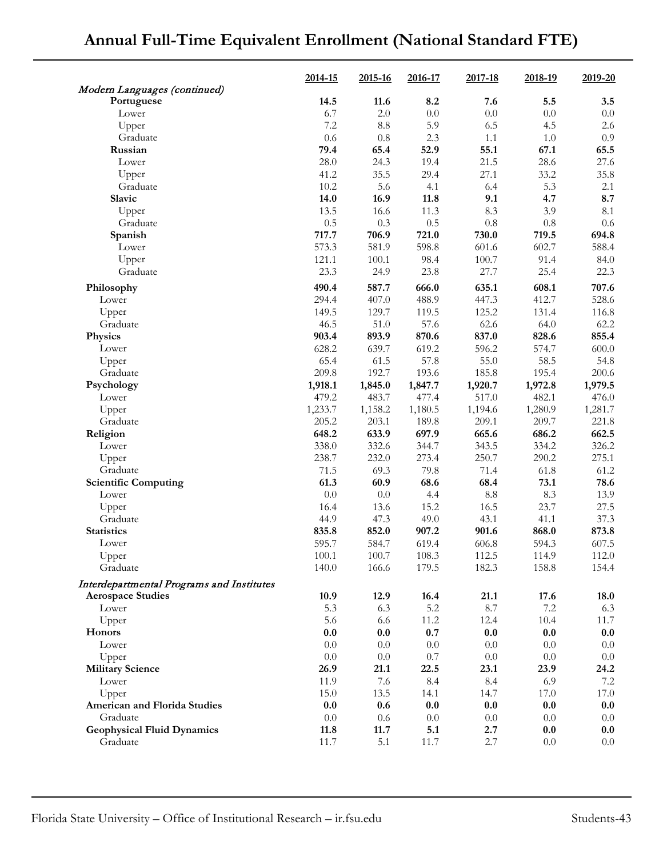|                                            | 2014-15 | 2015-16         | 2016-17      | 2017-18 | 2018-19      | 2019-20      |
|--------------------------------------------|---------|-----------------|--------------|---------|--------------|--------------|
| Modern Languages (continued)<br>Portuguese | 14.5    | 11.6            | 8.2          | 7.6     | 5.5          | 3.5          |
| Lower                                      | 6.7     | 2.0             | 0.0          | 0.0     | 0.0          | $0.0\,$      |
| Upper                                      | 7.2     | $\!\!\!\!\!8.8$ | 5.9          | 6.5     | 4.5          | 2.6          |
| Graduate                                   | 0.6     | $0.8\,$         | 2.3          | 1.1     | 1.0          | 0.9          |
| Russian                                    | 79.4    | 65.4            | 52.9         | 55.1    | 67.1         | 65.5         |
| Lower                                      | 28.0    | 24.3            | 19.4         | 21.5    | 28.6         | 27.6         |
| Upper                                      | 41.2    | 35.5            | 29.4         | 27.1    | 33.2         | 35.8         |
| Graduate                                   | 10.2    | 5.6             | 4.1          | 6.4     | 5.3          | 2.1          |
| Slavic                                     | 14.0    | 16.9            | 11.8         | 9.1     | 4.7          | 8.7          |
| Upper                                      | 13.5    | 16.6            | 11.3         | 8.3     | 3.9          | 8.1          |
| Graduate                                   | 0.5     | 0.3             | 0.5          | $0.8\,$ | 0.8          | 0.6          |
| Spanish                                    | 717.7   | 706.9           | 721.0        | 730.0   | 719.5        | 694.8        |
| Lower                                      | 573.3   | 581.9           | 598.8        | 601.6   | 602.7        | 588.4        |
|                                            |         |                 |              |         |              |              |
| Upper                                      | 121.1   | 100.1           | 98.4<br>23.8 | 100.7   | 91.4<br>25.4 | 84.0<br>22.3 |
| Graduate                                   | 23.3    | 24.9            |              | 27.7    |              |              |
| Philosophy                                 | 490.4   | 587.7           | 666.0        | 635.1   | 608.1        | 707.6        |
| Lower                                      | 294.4   | 407.0           | 488.9        | 447.3   | 412.7        | 528.6        |
| Upper                                      | 149.5   | 129.7           | 119.5        | 125.2   | 131.4        | 116.8        |
| Graduate                                   | 46.5    | 51.0            | 57.6         | 62.6    | 64.0         | 62.2         |
| Physics                                    | 903.4   | 893.9           | 870.6        | 837.0   | 828.6        | 855.4        |
| Lower                                      | 628.2   | 639.7           | 619.2        | 596.2   | 574.7        | 600.0        |
| Upper                                      | 65.4    | 61.5            | 57.8         | 55.0    | 58.5         | 54.8         |
| Graduate                                   | 209.8   | 192.7           | 193.6        | 185.8   | 195.4        | 200.6        |
| Psychology                                 | 1,918.1 | 1,845.0         | 1,847.7      | 1,920.7 | 1,972.8      | 1,979.5      |
| Lower                                      | 479.2   | 483.7           | 477.4        | 517.0   | 482.1        | 476.0        |
| Upper                                      | 1,233.7 | 1,158.2         | 1,180.5      | 1,194.6 | 1,280.9      | 1,281.7      |
| Graduate                                   | 205.2   | 203.1           | 189.8        | 209.1   | 209.7        | 221.8        |
| Religion                                   | 648.2   | 633.9           | 697.9        | 665.6   | 686.2        | 662.5        |
| Lower                                      | 338.0   | 332.6           | 344.7        | 343.5   | 334.2        | 326.2        |
| Upper                                      | 238.7   | 232.0           | 273.4        | 250.7   | 290.2        | 275.1        |
| Graduate                                   | 71.5    | 69.3            | 79.8         | 71.4    | 61.8         | 61.2         |
| <b>Scientific Computing</b>                | 61.3    | 60.9            | 68.6         | 68.4    | 73.1         | 78.6         |
| Lower                                      | 0.0     | $0.0\,$         | 4.4          | 8.8     | 8.3          | 13.9         |
| Upper                                      | 16.4    | 13.6            | 15.2         | 16.5    | 23.7         | 27.5         |
| Graduate                                   | 44.9    | 47.3            | 49.0         | 43.1    | 41.1         | 37.3         |
| <b>Statistics</b>                          | 835.8   | 852.0           | 907.2        | 901.6   | 868.0        | 873.8        |
| Lower                                      | 595.7   | 584.7           | 619.4        | 606.8   | 594.3        | 607.5        |
| Upper                                      | 100.1   | 100.7           | 108.3        | 112.5   | 114.9        | 112.0        |
| Graduate                                   | 140.0   | 166.6           | 179.5        | 182.3   | 158.8        | 154.4        |
| Interdepartmental Programs and Institutes  |         |                 |              |         |              |              |
| <b>Aerospace Studies</b>                   | 10.9    | 12.9            | 16.4         | 21.1    | 17.6         | 18.0         |
| Lower                                      | 5.3     | 6.3             | 5.2          | 8.7     | $7.2\,$      | 6.3          |
| Upper                                      | 5.6     | 6.6             | 11.2         | 12.4    | 10.4         | 11.7         |
| Honors                                     | 0.0     | 0.0             | 0.7          | 0.0     | 0.0          | 0.0          |
| Lower                                      | 0.0     | 0.0             | 0.0          | 0.0     | 0.0          | 0.0          |
| Upper                                      | $0.0\,$ | 0.0             | 0.7          | 0.0     | 0.0          | 0.0          |
|                                            | 26.9    | 21.1            | 22.5         | 23.1    | 23.9         | 24.2         |
| <b>Military Science</b>                    |         | 7.6             | 8.4          | 8.4     |              | 7.2          |
| Lower                                      | 11.9    |                 |              |         | 6.9          |              |
| Upper                                      | 15.0    | 13.5            | 14.1         | 14.7    | 17.0         | 17.0         |
| American and Florida Studies               | 0.0     | 0.6             | 0.0          | 0.0     | 0.0          | 0.0          |
| Graduate                                   | 0.0     | $0.6\,$         | $0.0\,$      | $0.0\,$ | 0.0          | 0.0          |
| <b>Geophysical Fluid Dynamics</b>          | 11.8    | 11.7            | 5.1          | 2.7     | 0.0          | 0.0          |
| Graduate                                   | 11.7    | 5.1             | 11.7         | 2.7     | 0.0          | $0.0\,$      |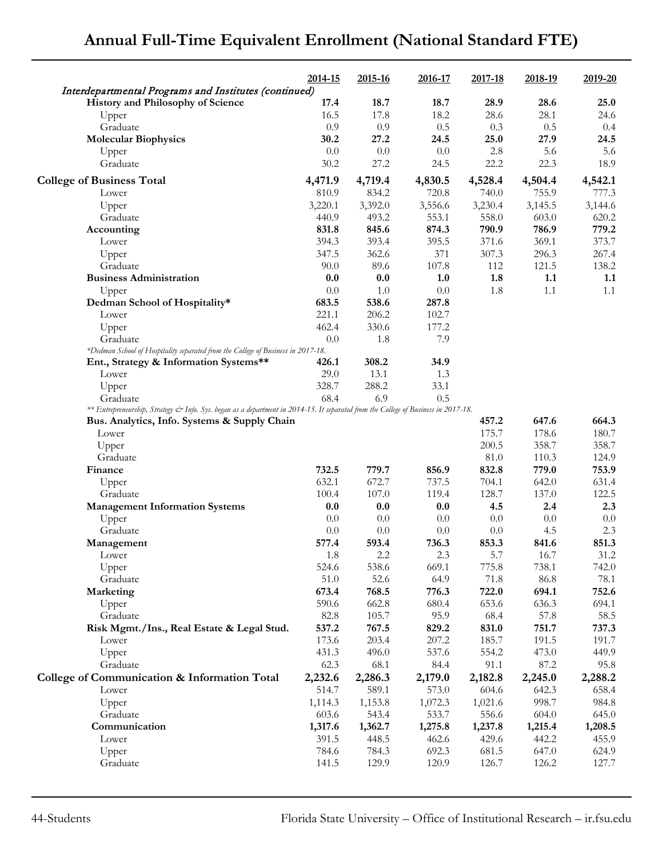|                                                                                                                                    | 2014-15        | 2015-16        | 2016-17        | 2017-18        | 2018-19        | 2019-20        |
|------------------------------------------------------------------------------------------------------------------------------------|----------------|----------------|----------------|----------------|----------------|----------------|
| Interdepartmental Programs and Institutes (continued)<br>History and Philosophy of Science                                         | 17.4           | 18.7           | 18.7           | 28.9           | 28.6           | 25.0           |
| Upper                                                                                                                              | 16.5           | 17.8           | 18.2           | 28.6           | 28.1           | 24.6           |
| Graduate                                                                                                                           | 0.9            | 0.9            | 0.5            | 0.3            | 0.5            | 0.4            |
| <b>Molecular Biophysics</b>                                                                                                        | 30.2           | 27.2           | 24.5           | 25.0           | 27.9           | 24.5           |
| Upper                                                                                                                              | 0.0            | 0.0            | 0.0            | 2.8            | 5.6            | 5.6            |
| Graduate                                                                                                                           | 30.2           | 27.2           | 24.5           | 22.2           | 22.3           | 18.9           |
|                                                                                                                                    |                |                |                |                |                |                |
| <b>College of Business Total</b>                                                                                                   | 4,471.9        | 4,719.4        | 4,830.5        | 4,528.4        | 4,504.4        | 4,542.1        |
| Lower                                                                                                                              | 810.9          | 834.2          | 720.8          | 740.0          | 755.9          | 777.3          |
| Upper                                                                                                                              | 3,220.1        | 3,392.0        | 3,556.6        | 3,230.4        | 3,145.5        | 3,144.6        |
| Graduate                                                                                                                           | 440.9<br>831.8 | 493.2<br>845.6 | 553.1<br>874.3 | 558.0<br>790.9 | 603.0<br>786.9 | 620.2<br>779.2 |
| Accounting                                                                                                                         |                |                |                |                |                |                |
| Lower                                                                                                                              | 394.3<br>347.5 | 393.4<br>362.6 | 395.5<br>371   | 371.6<br>307.3 | 369.1<br>296.3 | 373.7<br>267.4 |
| Upper<br>Graduate                                                                                                                  | 90.0           | 89.6           | 107.8          | 112            | 121.5          |                |
| <b>Business Administration</b>                                                                                                     | 0.0            | 0.0            | 1.0            | 1.8            | 1.1            | 138.2<br>1.1   |
|                                                                                                                                    | 0.0            | 1.0            | $0.0\,$        | 1.8            | 1.1            | 1.1            |
| Upper<br>Dedman School of Hospitality*                                                                                             | 683.5          | 538.6          | 287.8          |                |                |                |
| Lower                                                                                                                              | 221.1          | 206.2          | 102.7          |                |                |                |
|                                                                                                                                    | 462.4          | 330.6          | 177.2          |                |                |                |
| Upper<br>Graduate                                                                                                                  | 0.0            | 1.8            | 7.9            |                |                |                |
| *Dedman School of Hospitality separated from the College of Business in 2017-18.                                                   |                |                |                |                |                |                |
| Ent., Strategy & Information Systems**                                                                                             | 426.1          | 308.2          | 34.9           |                |                |                |
| Lower                                                                                                                              | 29.0           | 13.1           | 1.3            |                |                |                |
| Upper                                                                                                                              | 328.7          | 288.2          | 33.1           |                |                |                |
| Graduate                                                                                                                           | 68.4           | 6.9            | 0.5            |                |                |                |
| ** Entrepreneurship, Strategy & Info. Sys. began as a department in 2014-15. It separated from the College of Business in 2017-18. |                |                |                |                |                |                |
| Bus. Analytics, Info. Systems & Supply Chain                                                                                       |                |                |                | 457.2          | 647.6          | 664.3          |
| Lower                                                                                                                              |                |                |                | 175.7          | 178.6          | 180.7          |
| Upper                                                                                                                              |                |                |                | 200.5          | 358.7          | 358.7          |
| Graduate                                                                                                                           |                |                |                | 81.0           | 110.3          | 124.9          |
| Finance                                                                                                                            | 732.5          | 779.7          | 856.9          | 832.8          | 779.0          | 753.9          |
| Upper                                                                                                                              | 632.1          | 672.7          | 737.5          | 704.1          | 642.0          | 631.4          |
| Graduate                                                                                                                           | 100.4          | 107.0          | 119.4          | 128.7          | 137.0          | 122.5          |
| <b>Management Information Systems</b>                                                                                              | 0.0            | 0.0            | 0.0            | 4.5            | 2.4            | 2.3            |
| Upper                                                                                                                              | 0.0            | 0.0            | 0.0            | 0.0            | 0.0            | 0.0            |
| Graduate                                                                                                                           | 0.0            | 0.0            | 0.0            | 0.0            | 4.5            | 2.3            |
| Management                                                                                                                         | 577.4          | 593.4          | 736.3          | 853.3          | 841.6          | 851.3          |
| Lower                                                                                                                              | 1.8            | 2.2            | 2.3            | 5.7            | 16.7           | 31.2           |
| Upper                                                                                                                              | 524.6          | 538.6          | 669.1          | 775.8          | 738.1          | 742.0          |
| Graduate                                                                                                                           | 51.0           | 52.6           | 64.9           | 71.8           | 86.8           | 78.1           |
| Marketing                                                                                                                          | 673.4          | 768.5          | 776.3          | 722.0          | 694.1          | 752.6          |
| Upper                                                                                                                              | 590.6          | 662.8          | 680.4          | 653.6          | 636.3          | 694.1          |
| Graduate                                                                                                                           | 82.8           | 105.7          | 95.9           | 68.4           | 57.8           | 58.5           |
| Risk Mgmt./Ins., Real Estate & Legal Stud.                                                                                         | 537.2          | 767.5          | 829.2          | 831.0          | 751.7          | 737.3          |
| Lower                                                                                                                              | 173.6          | 203.4          | 207.2          | 185.7          | 191.5          | 191.7          |
| Upper                                                                                                                              | 431.3          | 496.0          | 537.6          | 554.2          | 473.0          | 449.9          |
| Graduate                                                                                                                           | 62.3           | 68.1           | 84.4           | 91.1           | 87.2           | 95.8           |
| College of Communication & Information Total                                                                                       | 2,232.6        | 2,286.3        | 2,179.0        | 2,182.8        | 2,245.0        | 2,288.2        |
| Lower                                                                                                                              | 514.7          | 589.1          | 573.0          | 604.6          | 642.3          | 658.4          |
| Upper                                                                                                                              | 1,114.3        | 1,153.8        | 1,072.3        | 1,021.6        | 998.7          | 984.8          |
| Graduate                                                                                                                           | 603.6          | 543.4          | 533.7          | 556.6          | 604.0          | 645.0          |
| Communication                                                                                                                      | 1,317.6        | 1,362.7        | 1,275.8        | 1,237.8        | 1,215.4        | 1,208.5        |
| Lower                                                                                                                              | 391.5          | 448.5          | 462.6          | 429.6          | 442.2          | 455.9          |
| Upper                                                                                                                              | 784.6          | 784.3          | 692.3          | 681.5          | 647.0          | 624.9          |
| Graduate                                                                                                                           | 141.5          | 129.9          | 120.9          | 126.7          | 126.2          | 127.7          |
|                                                                                                                                    |                |                |                |                |                |                |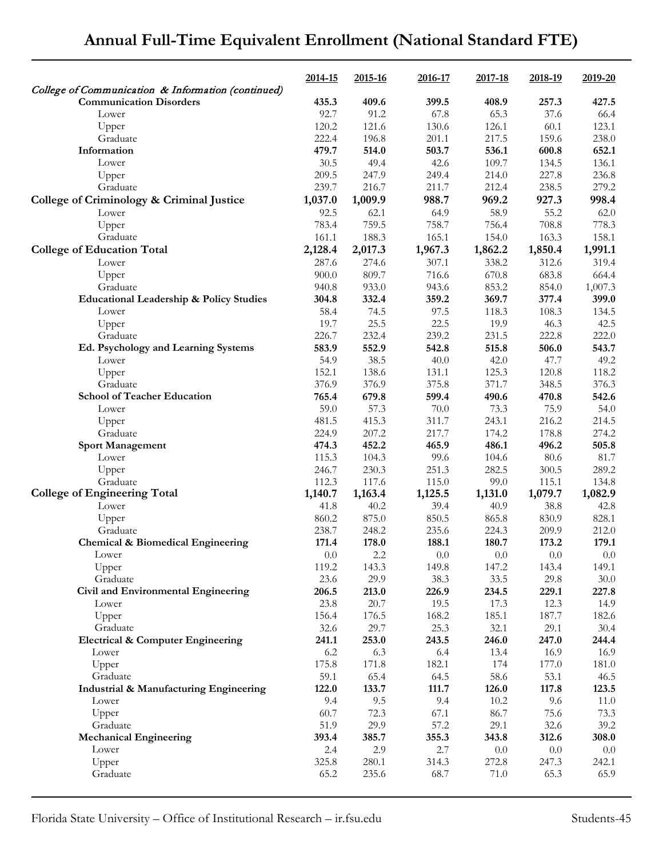|                                                                                      | 2014-15       | 2015-16       | 2016-17       | 2017-18       | 2018-19       | 2019-20       |
|--------------------------------------------------------------------------------------|---------------|---------------|---------------|---------------|---------------|---------------|
| College of Communication & Information (continued)<br><b>Communication Disorders</b> | 435.3         | 409.6         | 399.5         | 408.9         | 257.3         | 427.5         |
| Lower                                                                                | 92.7          | 91.2          | 67.8          | 65.3          | 37.6          | 66.4          |
| Upper                                                                                | 120.2         | 121.6         | 130.6         | 126.1         | 60.1          | 123.1         |
| Graduate                                                                             | 222.4         | 196.8         | 201.1         | 217.5         | 159.6         | 238.0         |
| Information                                                                          | 479.7         | 514.0         | 503.7         | 536.1         | 600.8         | 652.1         |
| Lower                                                                                | 30.5          | 49.4          | 42.6          | 109.7         | 134.5         | 136.1         |
| Upper                                                                                | 209.5         | 247.9         | 249.4         | 214.0         | 227.8         | 236.8         |
| Graduate                                                                             | 239.7         | 216.7         | 211.7         | 212.4         | 238.5         | 279.2         |
| College of Criminology & Criminal Justice                                            | 1,037.0       | 1,009.9       | 988.7         | 969.2         | 927.3         | 998.4         |
| Lower                                                                                | 92.5          | 62.1          | 64.9          | 58.9          | 55.2          | 62.0          |
| Upper                                                                                | 783.4         | 759.5         | 758.7         | 756.4         | 708.8         | 778.3         |
| Graduate                                                                             | 161.1         | 188.3         | 165.1         | 154.0         | 163.3         | 158.1         |
| <b>College of Education Total</b>                                                    | 2,128.4       | 2,017.3       | 1,967.3       | 1,862.2       | 1,850.4       | 1,991.1       |
| Lower                                                                                | 287.6         | 274.6         | 307.1         | 338.2         | 312.6         | 319.4         |
| Upper                                                                                | 900.0         | 809.7         | 716.6         | 670.8         | 683.8         | 664.4         |
| Graduate                                                                             | 940.8         | 933.0         | 943.6         | 853.2         | 854.0         | 1,007.3       |
| <b>Educational Leadership &amp; Policy Studies</b>                                   | 304.8         | 332.4         | 359.2         | 369.7         | 377.4         | 399.0         |
| Lower                                                                                | 58.4          | 74.5          | 97.5          | 118.3         | 108.3         | 134.5         |
| Upper                                                                                | 19.7          | 25.5          | 22.5          | 19.9          | 46.3          | 42.5          |
| Graduate                                                                             | 226.7         | 232.4         | 239.2         | 231.5         | 222.8         | 222.0         |
| Ed. Psychology and Learning Systems                                                  | 583.9<br>54.9 | 552.9<br>38.5 | 542.8<br>40.0 | 515.8<br>42.0 | 506.0<br>47.7 | 543.7<br>49.2 |
| Lower<br>Upper                                                                       | 152.1         | 138.6         | 131.1         | 125.3         | 120.8         | 118.2         |
| Graduate                                                                             | 376.9         | 376.9         | 375.8         | 371.7         | 348.5         | 376.3         |
| <b>School of Teacher Education</b>                                                   | 765.4         | 679.8         | 599.4         | 490.6         | 470.8         | 542.6         |
| Lower                                                                                | 59.0          | 57.3          | 70.0          | 73.3          | 75.9          | 54.0          |
| Upper                                                                                | 481.5         | 415.3         | 311.7         | 243.1         | 216.2         | 214.5         |
| Graduate                                                                             | 224.9         | 207.2         | 217.7         | 174.2         | 178.8         | 274.2         |
| <b>Sport Management</b>                                                              | 474.3         | 452.2         | 465.9         | 486.1         | 496.2         | 505.8         |
| Lower                                                                                | 115.3         | 104.3         | 99.6          | 104.6         | 80.6          | 81.7          |
| Upper                                                                                | 246.7         | 230.3         | 251.3         | 282.5         | 300.5         | 289.2         |
| Graduate                                                                             | 112.3         | 117.6         | 115.0         | 99.0          | 115.1         | 134.8         |
| <b>College of Engineering Total</b>                                                  | 1,140.7       | 1,163.4       | 1,125.5       | 1,131.0       | 1,079.7       | 1,082.9       |
| Lower                                                                                | 41.8          | 40.2          | 39.4          | 40.9          | 38.8          | 42.8          |
| Upper                                                                                | 860.2         | 875.0         | 850.5         | 865.8         | 830.9         | 828.1         |
| Graduate                                                                             | 238.7         | 248.2         | 235.6         | 224.3         | 209.9         | 212.0         |
| Chemical & Biomedical Engineering                                                    | 171.4         | 178.0         | 188.1         | 180.7         | 173.2         | 179.1         |
| Lower                                                                                | $0.0\,$       | 2.2           | $0.0\,$       | $0.0\,$       | $0.0\,$       | $0.0\,$       |
| Upper                                                                                | 119.2         | 143.3         | 149.8         | 147.2         | 143.4         | 149.1         |
| Graduate<br>Civil and Environmental Engineering                                      | 23.6<br>206.5 | 29.9<br>213.0 | 38.3<br>226.9 | 33.5<br>234.5 | 29.8<br>229.1 | 30.0<br>227.8 |
| Lower                                                                                | 23.8          | 20.7          | 19.5          | 17.3          | 12.3          | 14.9          |
| Upper                                                                                | 156.4         | 176.5         | 168.2         | 185.1         | 187.7         | 182.6         |
| Graduate                                                                             | 32.6          | 29.7          | 25.3          | 32.1          | 29.1          | 30.4          |
| <b>Electrical &amp; Computer Engineering</b>                                         | 241.1         | 253.0         | 243.5         | 246.0         | 247.0         | 244.4         |
| Lower                                                                                | 6.2           | 6.3           | 6.4           | 13.4          | 16.9          | 16.9          |
| Upper                                                                                | 175.8         | 171.8         | 182.1         | 174           | 177.0         | 181.0         |
| Graduate                                                                             | 59.1          | 65.4          | 64.5          | 58.6          | 53.1          | 46.5          |
| <b>Industrial &amp; Manufacturing Engineering</b>                                    | 122.0         | 133.7         | 111.7         | 126.0         | 117.8         | 123.5         |
| Lower                                                                                | 9.4           | 9.5           | 9.4           | 10.2          | 9.6           | 11.0          |
| Upper                                                                                | 60.7          | 72.3          | 67.1          | 86.7          | 75.6          | 73.3          |
| Graduate                                                                             | 51.9          | 29.9          | 57.2          | 29.1          | 32.6          | 39.2          |
| <b>Mechanical Engineering</b>                                                        | 393.4         | 385.7         | 355.3         | 343.8         | 312.6         | 308.0         |
| Lower                                                                                | 2.4           | 2.9           | 2.7           | $0.0\,$       | $0.0\,$       | $0.0\,$       |
| Upper                                                                                | 325.8         | 280.1         | 314.3         | 272.8         | 247.3         | 242.1         |
| Graduate                                                                             | 65.2          | 235.6         | 68.7          | 71.0          | 65.3          | 65.9          |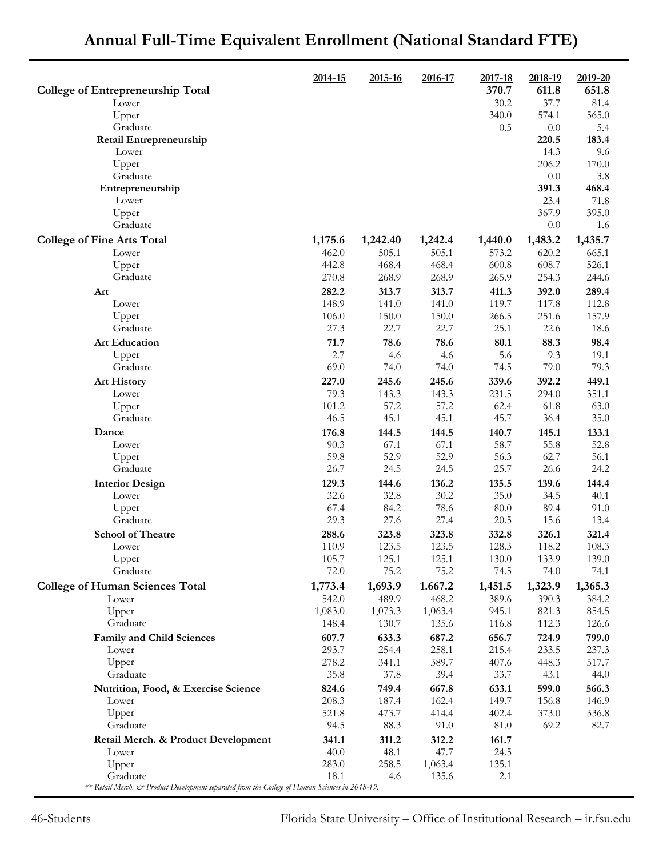|                                                                                                 | 2014-15          | 2015-16          | 2016-17          | 2017-18        | 2018-19        | 2019-20        |
|-------------------------------------------------------------------------------------------------|------------------|------------------|------------------|----------------|----------------|----------------|
| <b>College of Entrepreneurship Total</b>                                                        |                  |                  |                  | 370.7          | 611.8          | 651.8          |
| Lower                                                                                           |                  |                  |                  | 30.2           | 37.7           | 81.4           |
| Upper                                                                                           |                  |                  |                  | 340.0          | 574.1          | 565.0          |
| Graduate                                                                                        |                  |                  |                  | 0.5            | 0.0            | 5.4            |
| Retail Entrepreneurship                                                                         |                  |                  |                  |                | 220.5          | 183.4          |
| Lower<br>Upper                                                                                  |                  |                  |                  |                | 14.3<br>206.2  | 9.6<br>170.0   |
| Graduate                                                                                        |                  |                  |                  |                | 0.0            | 3.8            |
| Entrepreneurship                                                                                |                  |                  |                  |                | 391.3          | 468.4          |
| Lower                                                                                           |                  |                  |                  |                | 23.4           | 71.8           |
| Upper                                                                                           |                  |                  |                  |                | 367.9          | 395.0          |
| Graduate                                                                                        |                  |                  |                  |                | 0.0            | 1.6            |
| <b>College of Fine Arts Total</b>                                                               | 1,175.6          | 1,242.40         | 1,242.4          | 1,440.0        | 1,483.2        | 1,435.7        |
| Lower                                                                                           | 462.0            | 505.1            | 505.1            | 573.2          | 620.2          | 665.1          |
| Upper                                                                                           | 442.8            | 468.4            | 468.4            | 600.8          | 608.7          | 526.1          |
| Graduate                                                                                        | 270.8            | 268.9            | 268.9            | 265.9          | 254.3          | 244.6          |
| Art                                                                                             | 282.2            | 313.7            | 313.7            | 411.3          | 392.0          | 289.4          |
| Lower<br>Upper                                                                                  | 148.9<br>106.0   | 141.0<br>150.0   | 141.0<br>150.0   | 119.7<br>266.5 | 117.8<br>251.6 | 112.8<br>157.9 |
| Graduate                                                                                        | 27.3             | 22.7             | 22.7             | 25.1           | 22.6           | 18.6           |
| <b>Art Education</b>                                                                            | 71.7             | 78.6             | 78.6             | 80.1           | 88.3           | 98.4           |
| Upper                                                                                           | 2.7              | 4.6              | 4.6              | 5.6            | 9.3            | 19.1           |
| Graduate                                                                                        | 69.0             | 74.0             | 74.0             | 74.5           | 79.0           | 79.3           |
| <b>Art History</b>                                                                              | 227.0            | 245.6            | 245.6            | 339.6          | 392.2          | 449.1          |
| Lower                                                                                           | 79.3             | 143.3            | 143.3            | 231.5          | 294.0          | 351.1          |
| Upper                                                                                           | 101.2            | 57.2             | 57.2             | 62.4           | 61.8           | 63.0           |
| Graduate                                                                                        | 46.5             | 45.1             | 45.1             | 45.7           | 36.4           | 35.0           |
| Dance                                                                                           | 176.8            | 144.5            | 144.5            | 140.7          | 145.1          | 133.1          |
| Lower                                                                                           | 90.3<br>59.8     | 67.1<br>52.9     | 67.1<br>52.9     | 58.7<br>56.3   | 55.8<br>62.7   | 52.8<br>56.1   |
| Upper<br>Graduate                                                                               | 26.7             | 24.5             | 24.5             | 25.7           | 26.6           | 24.2           |
| <b>Interior Design</b>                                                                          | 129.3            | 144.6            | 136.2            | 135.5          | 139.6          | 144.4          |
| Lower                                                                                           | 32.6             | 32.8             | 30.2             | 35.0           | 34.5           | 40.1           |
| Upper                                                                                           | 67.4             | 84.2             | 78.6             | 80.0           | 89.4           | 91.0           |
| Graduate                                                                                        | 29.3             | 27.6             | 27.4             | 20.5           | 15.6           | 13.4           |
| <b>School of Theatre</b>                                                                        | 288.6            | 323.8            | 323.8            | 332.8          | 326.1          | 321.4          |
| Lower                                                                                           | 110.9            | 123.5            | 123.5            | 128.3          | 118.2          | 108.3          |
| Upper                                                                                           | 105.7            | 125.1            | 125.1            | 130.0          | 133.9          | 139.0          |
| Graduate                                                                                        | 72.0             | 75.2             | 75.2             | 74.5           | 74.0           | 74.1           |
| <b>College of Human Sciences Total</b>                                                          | 1,773.4          | 1,693.9          | 1.667.2          | 1,451.5        | 1,323.9        | 1,365.3        |
| Lower<br>Upper                                                                                  | 542.0<br>1,083.0 | 489.9<br>1,073.3 | 468.2<br>1,063.4 | 389.6<br>945.1 | 390.3<br>821.3 | 384.2<br>854.5 |
| Graduate                                                                                        | 148.4            | 130.7            | 135.6            | 116.8          | 112.3          | 126.6          |
| Family and Child Sciences                                                                       | 607.7            | 633.3            | 687.2            | 656.7          | 724.9          | 799.0          |
| Lower                                                                                           | 293.7            | 254.4            | 258.1            | 215.4          | 233.5          | 237.3          |
| Upper                                                                                           | 278.2            | 341.1            | 389.7            | 407.6          | 448.3          | 517.7          |
| Graduate                                                                                        | 35.8             | 37.8             | 39.4             | 33.7           | 43.1           | 44.0           |
| Nutrition, Food, & Exercise Science                                                             | 824.6            | 749.4            | 667.8            | 633.1          | 599.0          | 566.3          |
| Lower                                                                                           | 208.3            | 187.4            | 162.4            | 149.7          | 156.8          | 146.9          |
| Upper                                                                                           | 521.8            | 473.7            | 414.4            | 402.4          | 373.0          | 336.8          |
| Graduate                                                                                        | 94.5             | 88.3             | 91.0             | 81.0           | 69.2           | 82.7           |
| Retail Merch. & Product Development<br>Lower                                                    | 341.1<br>40.0    | 311.2<br>48.1    | 312.2<br>47.7    | 161.7<br>24.5  |                |                |
| Upper                                                                                           | 283.0            | 258.5            | 1,063.4          | 135.1          |                |                |
| Graduate                                                                                        | 18.1             | 4.6              | 135.6            | 2.1            |                |                |
| ** Retail Merch. & Product Development separated from the College of Human Sciences in 2018-19. |                  |                  |                  |                |                |                |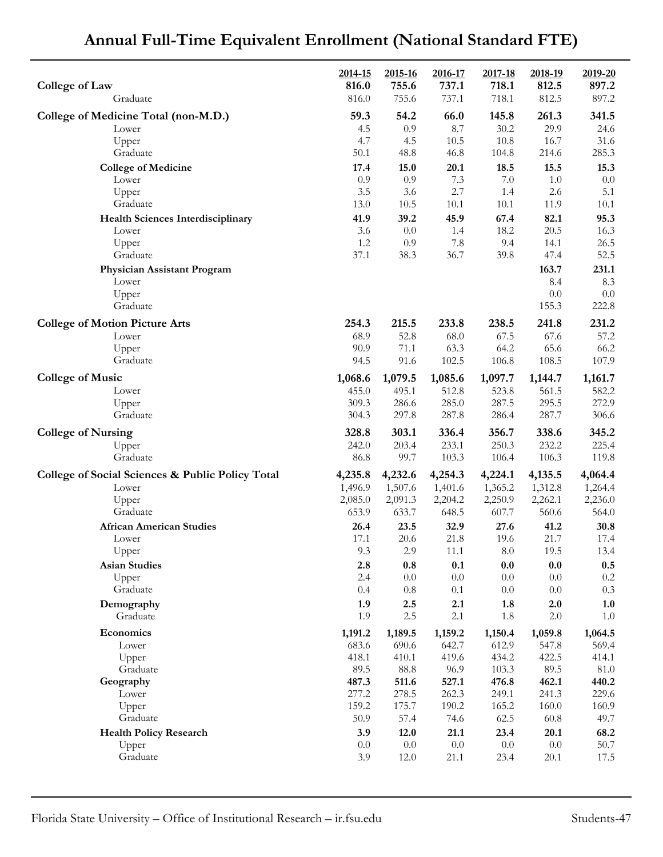| <b>College of Law</b>                            | 2014-15<br>816.0 | 2015-16<br>755.6 | 2016-17<br>737.1 | 2017-18<br>718.1 | 2018-19<br>812.5 | 2019-20<br>897.2 |
|--------------------------------------------------|------------------|------------------|------------------|------------------|------------------|------------------|
| Graduate                                         | 816.0            | 755.6            | 737.1            | 718.1            | 812.5            | 897.2            |
| College of Medicine Total (non-M.D.)             | 59.3             | 54.2             | 66.0             | 145.8            | 261.3            | 341.5            |
| Lower                                            | 4.5              | 0.9              | 8.7              | 30.2             | 29.9             | 24.6             |
| Upper                                            | 4.7              | 4.5              | 10.5             | 10.8             | 16.7             | 31.6             |
| Graduate                                         | 50.1             | 48.8             | 46.8             | 104.8            | 214.6            | 285.3            |
| <b>College of Medicine</b>                       | 17.4             | 15.0             | 20.1             | 18.5             | 15.5             | 15.3             |
| Lower<br>Upper                                   | 0.9<br>3.5       | 0.9<br>3.6       | 7.3<br>2.7       | $7.0\,$<br>1.4   | 1.0<br>2.6       | 0.0<br>5.1       |
| Graduate                                         | 13.0             | 10.5             | 10.1             | 10.1             | 11.9             | 10.1             |
| <b>Health Sciences Interdisciplinary</b>         | 41.9             | 39.2             | 45.9             | 67.4             | 82.1             | 95.3             |
| Lower                                            | 3.6              | 0.0              | 1.4              | 18.2             | 20.5             | 16.3             |
| Upper                                            | 1.2              | 0.9              | 7.8              | 9.4              | 14.1             | 26.5             |
| Graduate                                         | 37.1             | 38.3             | 36.7             | 39.8             | 47.4             | 52.5             |
| Physician Assistant Program                      |                  |                  |                  |                  | 163.7            | 231.1            |
| Lower                                            |                  |                  |                  |                  | 8.4              | 8.3              |
| Upper<br>Graduate                                |                  |                  |                  |                  | 0.0<br>155.3     | $0.0\,$<br>222.8 |
|                                                  |                  |                  |                  |                  |                  |                  |
| <b>College of Motion Picture Arts</b><br>Lower   | 254.3            | 215.5            | 233.8            | 238.5            | 241.8            | 231.2            |
| Upper                                            | 68.9<br>90.9     | 52.8<br>71.1     | 68.0<br>63.3     | 67.5<br>64.2     | 67.6<br>65.6     | 57.2<br>66.2     |
| Graduate                                         | 94.5             | 91.6             | 102.5            | 106.8            | 108.5            | 107.9            |
| <b>College of Music</b>                          | 1,068.6          | 1,079.5          | 1,085.6          | 1,097.7          | 1,144.7          | 1,161.7          |
| Lower                                            | 455.0            | 495.1            | 512.8            | 523.8            | 561.5            | 582.2            |
| Upper                                            | 309.3            | 286.6            | 285.0            | 287.5            | 295.5            | 272.9            |
| Graduate                                         | 304.3            | 297.8            | 287.8            | 286.4            | 287.7            | 306.6            |
| <b>College of Nursing</b>                        | 328.8            | 303.1            | 336.4            | 356.7            | 338.6            | 345.2            |
| Upper                                            | 242.0            | 203.4            | 233.1            | 250.3            | 232.2            | 225.4            |
| Graduate                                         | 86.8             | 99.7             | 103.3            | 106.4            | 106.3            | 119.8            |
| College of Social Sciences & Public Policy Total | 4,235.8          | 4,232.6          | 4,254.3          | 4,224.1          | 4,135.5          | 4,064.4          |
| Lower                                            | 1,496.9          | 1,507.6          | 1,401.6          | 1,365.2          | 1,312.8          | 1,264.4          |
| Upper                                            | 2,085.0          | 2,091.3          | 2,204.2          | 2,250.9          | 2,262.1          | 2,236.0          |
| Graduate                                         | 653.9            | 633.7            | 648.5            | 607.7            | 560.6            | 564.0            |
| <b>African American Studies</b>                  | 26.4<br>17.1     | 23.5             | 32.9             | 27.6             | 41.2             | 30.8             |
| Lower<br>Upper                                   | 9.3              | 20.6<br>2.9      | 21.8<br>11.1     | 19.6<br>$8.0\,$  | 21.7<br>19.5     | 17.4<br>13.4     |
| <b>Asian Studies</b>                             | 2.8              | 0.8              | 0.1              | 0.0              | 0.0              | $0.5\,$          |
| Upper                                            | 2.4              | $0.0\,$          | $0.0\,$          | $0.0\,$          | $0.0\,$          | $0.2\,$          |
| Graduate                                         | 0.4              | $0.8\,$          | 0.1              | $0.0\,$          | $0.0\,$          | 0.3              |
| Demography                                       | 1.9              | 2.5              | 2.1              | 1.8              | 2.0              | 1.0              |
| Graduate                                         | 1.9              | $2.5\,$          | $2.1\,$          | 1.8              | $2.0\,$          | $1.0\,$          |
| Economics                                        | 1,191.2          | 1,189.5          | 1,159.2          | 1,150.4          | 1,059.8          | 1,064.5          |
| Lower                                            | 683.6            | 690.6            | 642.7            | 612.9            | 547.8            | 569.4            |
| Upper                                            | 418.1            | 410.1            | 419.6            | 434.2            | 422.5            | 414.1            |
| Graduate                                         | 89.5             | 88.8             | 96.9             | 103.3            | 89.5             | $81.0\,$         |
| Geography<br>Lower                               | 487.3<br>277.2   | 511.6<br>278.5   | 527.1<br>262.3   | 476.8<br>249.1   | 462.1<br>241.3   | 440.2<br>229.6   |
| Upper                                            | 159.2            | 175.7            | 190.2            | 165.2            | 160.0            | 160.9            |
| Graduate                                         | 50.9             | 57.4             | 74.6             | 62.5             | 60.8             | 49.7             |
| <b>Health Policy Research</b>                    | 3.9              | 12.0             | 21.1             | 23.4             | 20.1             | 68.2             |
| Upper                                            | $0.0\,$          | $0.0\,$          | $0.0\,$          | $0.0\,$          | $0.0\,$          | 50.7             |
| Graduate                                         | 3.9              | 12.0             | 21.1             | 23.4             | 20.1             | 17.5             |